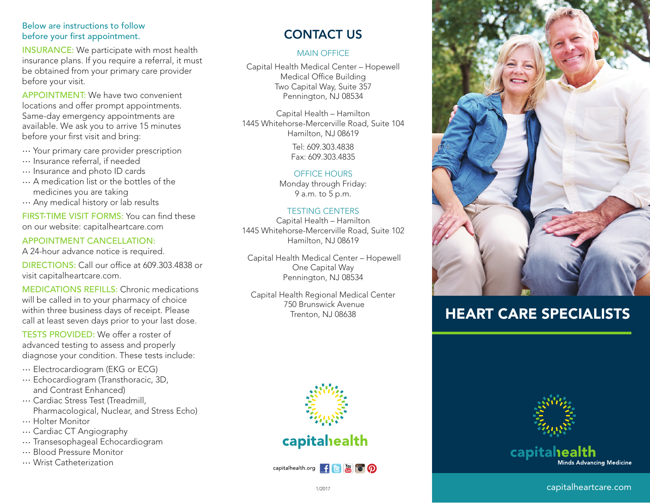### Below are instructions to follow before your first appointment.

INSURANCE: We participate with most health insurance plans. If you require a referral, it must be obtained from your primary care provider before your visit.

APPOINTMENT: We have two convenient locations and offer prompt appointments. Same-day emergency appointments are available. We ask you to arrive 15 minutes before your first visit and bring:

- … Your primary care provider prescription
- … Insurance referral, if needed
- … Insurance and photo ID cards
- … A medication list or the bottles of the medicines you are taking
- … Any medical history or lab results

FIRST-TIME VISIT FORMS: You can find these on our website: capitalheartcare.com

#### APPOINTMENT CANCELLATION:

A 24-hour advance notice is required.

DIRECTIONS: Call our office at 609.303.4838 or visit capitalheartcare.com.

MEDICATIONS REFILLS: Chronic medications will be called in to your pharmacy of choice within three business days of receipt. Please call at least seven days prior to your last dose.

TESTS PROVIDED: We offer a roster of advanced testing to assess and properly diagnose your condition. These tests include:

- … Electrocardiogram (EKG or ECG)
- … Echocardiogram (Transthoracic, 3D, and Contrast Enhanced)
- … Cardiac Stress Test (Treadmill, Pharmacological, Nuclear, and Stress Echo)
- … Holter Monitor
- … Cardiac CT Angiography
- … Transesophageal Echocardiogram
- … Blood Pressure Monitor
- … Wrist Catheterization

# CONTACT US

#### MAIN OFFICE

Capital Health Medical Center – Hopewell Medical Office Building Two Capital Way, Suite 357 Pennington, NJ 08534

Capital Health – Hamilton 1445 Whitehorse-Mercerville Road, Suite 104 Hamilton, NJ 08619

> Tel: 609.303.4838 Fax: 609.303.4835

### OFFICE HOURS

Monday through Friday: 9 a.m. to 5 p.m.

### TESTING CENTERS

Capital Health – Hamilton 1445 Whitehorse-Mercerville Road, Suite 102 Hamilton, NJ 08619

 Capital Health Medical Center – Hopewell One Capital Way Pennington, NJ 08534

Capital Health Regional Medical Center 750 Brunswick Avenue Trenton, NJ 08638





capitalhealth.org **f e in** o **0** 



# HEART CARE SPECIALISTS



### capitahealth **Minds Advancing Medicine**